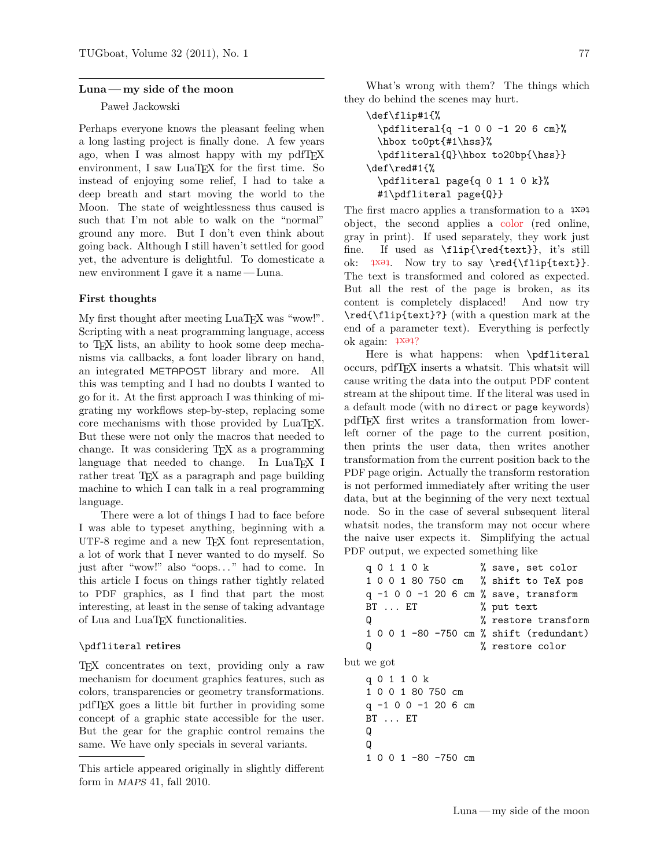### Luna — my side of the moon

### Paweł Jackowski

Perhaps everyone knows the pleasant feeling when a long lasting project is finally done. A few years ago, when I was almost happy with my pdfTFX environment, I saw LuaT<sub>E</sub>X for the first time. So instead of enjoying some relief, I had to take a deep breath and start moving the world to the Moon. The state of weightlessness thus caused is such that I'm not able to walk on the "normal" ground any more. But I don't even think about going back. Although I still haven't settled for good yet, the adventure is delightful. To domesticate a new environment I gave it a name — Luna.

#### First thoughts

My first thought after meeting LuaTEX was "wow!". Scripting with a neat programming language, access to TEX lists, an ability to hook some deep mechanisms via callbacks, a font loader library on hand, an integrated METAPOST library and more. All this was tempting and I had no doubts I wanted to go for it. At the first approach I was thinking of migrating my workflows step-by-step, replacing some core mechanisms with those provided by LuaTEX. But these were not only the macros that needed to change. It was considering TEX as a programming language that needed to change. In LuaT<sub>EX</sub> I rather treat TEX as a paragraph and page building machine to which I can talk in a real programming language.

There were a lot of things I had to face before I was able to typeset anything, beginning with a UTF-8 regime and a new TEX font representation, a lot of work that I never wanted to do myself. So just after "wow!" also "oops..." had to come. In this article I focus on things rather tightly related to PDF graphics, as I find that part the most interesting, at least in the sense of taking advantage of Lua and LuaTEX functionalities.

## \pdfliteral retires

TEX concentrates on text, providing only a raw mechanism for document graphics features, such as colors, transparencies or geometry transformations. pdfTEX goes a little bit further in providing some concept of a graphic state accessible for the user. But the gear for the graphic control remains the same. We have only specials in several variants.

This article appeared originally in slightly different form in MAPS 41, fall 2010.

What's wrong with them? The things which they do behind the scenes may hurt.

```
\def\flip#1{%
  \pdfliteral{q -1 0 0 -1 20 6 cm}%
  \hbox to0pt{#1\hss}%
  \pdfliteral{Q}\hbox to20bp{\hss}}
\def\red#1{%
  \pdfliteral page{q 0 1 1 0 k}%
 #1\pdfliteral page{Q}}
```
The first macro applies a transformation to a  $4X94$ object, the second applies a color (red online, gray in print). If used separately, they work just fine. If used as \flip{\red{text}}, it's still ok:  $\frac{1}{x+1}$ . Now try to say \red{\flip{text}}. The text is transformed and colored as expected. But all the rest of the page is broken, as its content is completely displaced! And now try \red{\flip{text}?} (with a question mark at the end of a parameter text). Everything is perfectly  $ok$  again:  $1X91?$ 

Here is what happens: when \pdfliteral occurs, pdfTEX inserts a whatsit. This whatsit will cause writing the data into the output PDF content stream at the shipout time. If the literal was used in a default mode (with no direct or page keywords) pdfTEX first writes a transformation from lowerleft corner of the page to the current position, then prints the user data, then writes another transformation from the current position back to the PDF page origin. Actually the transform restoration is not performed immediately after writing the user data, but at the beginning of the very next textual node. So in the case of several subsequent literal whatsit nodes, the transform may not occur where the naive user expects it. Simplifying the actual PDF output, we expected something like

```
q 0 1 1 0 k % save, set color
   1 0 0 1 80 750 cm % shift to TeX pos
   q -1 0 0 -1 20 6 cm % save, transform
  BT ... ET \% put text
   Q % restore transform
   1 0 0 1 -80 -750 cm % shift (redundant)
   Q % restore color
but we got
   q 0 1 1 0 k
```

```
1 0 0 1 80 750 cm
q -1 0 0 -1 20 6 cm
BT ... ET
Q
Q
1 0 0 1 -80 -750 cm
```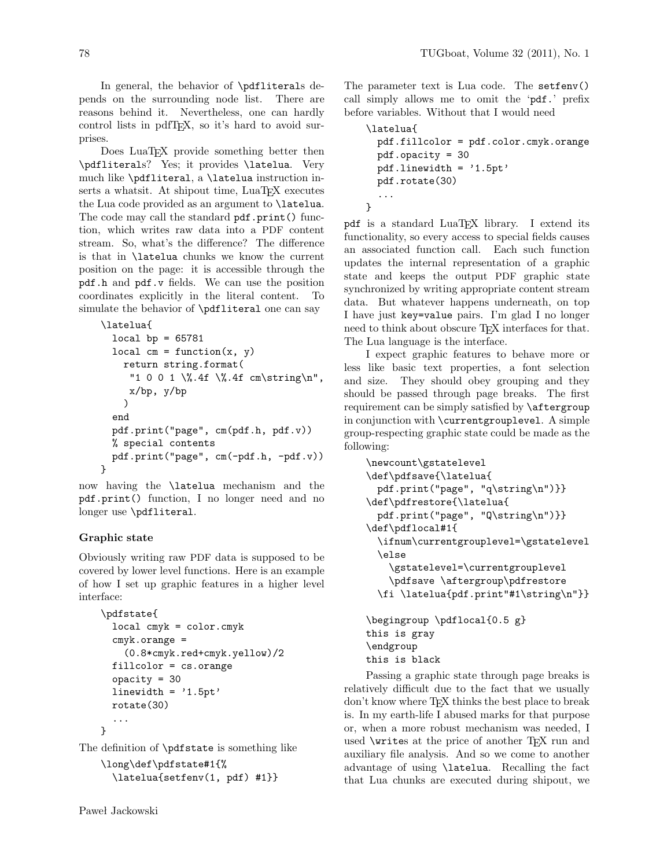In general, the behavior of \pdfliterals depends on the surrounding node list. There are reasons behind it. Nevertheless, one can hardly control lists in pdfTEX, so it's hard to avoid surprises.

Does LuaT<sub>EX</sub> provide something better then \pdfliterals? Yes; it provides \latelua. Very much like \pdfliteral, a \latelua instruction inserts a whatsit. At shipout time, LuaT<sub>EX</sub> executes the Lua code provided as an argument to \latelua. The code may call the standard pdf.print() function, which writes raw data into a PDF content stream. So, what's the difference? The difference is that in \latelua chunks we know the current position on the page: it is accessible through the pdf.h and pdf.v fields. We can use the position coordinates explicitly in the literal content. To simulate the behavior of \pdfliteral one can say

```
\latelua{
 local bp = 65781local cm = function(x, y)return string.format(
     "1 0 0 1 \%.4f \%.4f cm\string\n",
    x/bp, y/bp
    \lambdaend
  pdf.print("page", cm(pdf.h, pdf.v))
  % special contents
  pdf.print("page", cm(-pdf.h, -pdf.v))
}
```
now having the \latelua mechanism and the pdf.print() function, I no longer need and no longer use \pdfliteral.

# Graphic state

Obviously writing raw PDF data is supposed to be covered by lower level functions. Here is an example of how I set up graphic features in a higher level interface:

```
\pdfstate{
 local cmyk = color.cmyk
  cmyk.orange =
    (0.8*cmyk.red+cmyk.yellow)/2
  fillcolor = cs.orange
  opacity = 30
  linewidth = '1.5pt'rotate(30)
  ...
}
```
The definition of \pdfstate is something like

```
\long\def\pdfstate#1{%
  \latelua{setfenv(1, pdf) #1}}
```
The parameter text is Lua code. The setfenv() call simply allows me to omit the 'pdf.' prefix before variables. Without that I would need

```
\latelua{
 pdf.fillcolor = pdf.color.cmyk.orange
 pdf.opacity = 30
 pdf.linewidth = '1.5pt'
 pdf.rotate(30)
  ...
}
```
pdf is a standard LuaTEX library. I extend its functionality, so every access to special fields causes an associated function call. Each such function updates the internal representation of a graphic state and keeps the output PDF graphic state synchronized by writing appropriate content stream data. But whatever happens underneath, on top I have just key=value pairs. I'm glad I no longer need to think about obscure TFX interfaces for that. The Lua language is the interface.

I expect graphic features to behave more or less like basic text properties, a font selection and size. They should obey grouping and they should be passed through page breaks. The first requirement can be simply satisfied by **\aftergroup** in conjunction with \currentgrouplevel. A simple group-respecting graphic state could be made as the following:

```
\newcount\gstatelevel
\def\pdfsave{\latelua{
 pdf.print("page", "q\string\n")}}
\def\pdfrestore{\latelua{
  pdf.print("page", "Q\string\n")}}
\def\pdflocal#1{
  \ifnum\currentgrouplevel=\gstatelevel
  \else
    \gstatelevel=\currentgrouplevel
    \pdfsave \aftergroup\pdfrestore
  \fi \latelua{pdf.print"#1\string\n"}}
\begingroup \pdflocal{0.5 g}
```
this is gray \endgroup this is black

Passing a graphic state through page breaks is relatively difficult due to the fact that we usually don't know where TEX thinks the best place to break is. In my earth-life I abused marks for that purpose or, when a more robust mechanism was needed, I used **\writes** at the price of another T<sub>E</sub>X run and auxiliary file analysis. And so we come to another advantage of using \latelua. Recalling the fact that Lua chunks are executed during shipout, we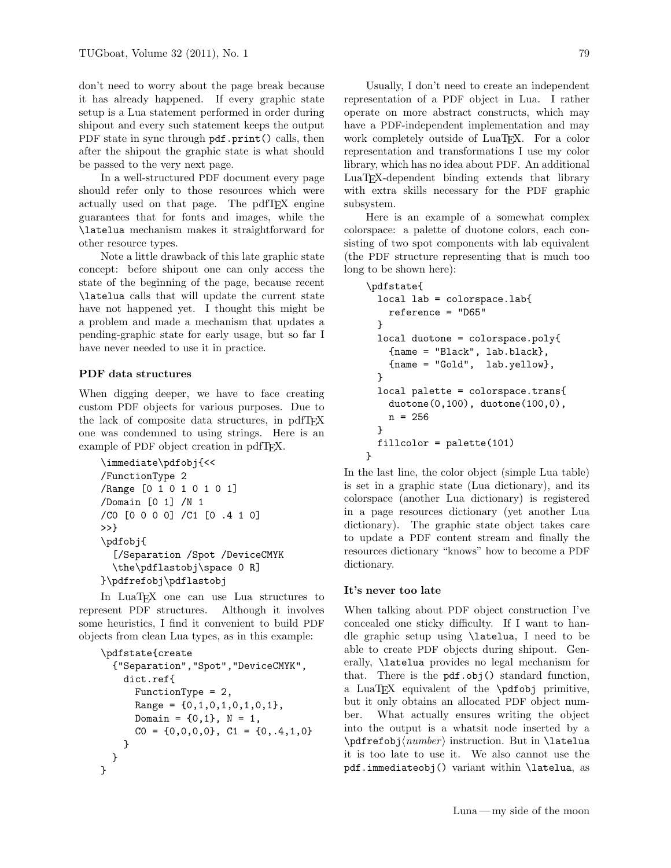don't need to worry about the page break because it has already happened. If every graphic state setup is a Lua statement performed in order during shipout and every such statement keeps the output PDF state in sync through  $pdf.print()$  calls, then after the shipout the graphic state is what should be passed to the very next page.

In a well-structured PDF document every page should refer only to those resources which were actually used on that page. The pdfTFX engine guarantees that for fonts and images, while the \latelua mechanism makes it straightforward for other resource types.

Note a little drawback of this late graphic state concept: before shipout one can only access the state of the beginning of the page, because recent \latelua calls that will update the current state have not happened yet. I thought this might be a problem and made a mechanism that updates a pending-graphic state for early usage, but so far I have never needed to use it in practice.

# PDF data structures

When digging deeper, we have to face creating custom PDF objects for various purposes. Due to the lack of composite data structures, in pdfTFX one was condemned to using strings. Here is an example of PDF object creation in pdfTEX.

```
\immediate\pdfobj{<<
/FunctionType 2
/Range [0 1 0 1 0 1 0 1]
/Domain [0 1] /N 1
/C0 [0 0 0 0] /C1 [0 .4 1 0]
>>}
\pdfobj{
  [/Separation /Spot /DeviceCMYK
  \the\pdflastobj\space 0 R]
}\pdfrefobj\pdflastobj
```
In LuaTEX one can use Lua structures to represent PDF structures. Although it involves some heuristics, I find it convenient to build PDF objects from clean Lua types, as in this example:

```
\pdfstate{create
  {"Separation","Spot","DeviceCMYK",
    dict.ref{
      FunctionType = 2,
      Range = \{0, 1, 0, 1, 0, 1, 0, 1\},
      Domain = {0,1}, N = 1,
      CO = \{0,0,0,0\}, C1 = \{0, .4, 1, 0\}}
  }
}
```
Usually, I don't need to create an independent representation of a PDF object in Lua. I rather operate on more abstract constructs, which may have a PDF-independent implementation and may work completely outside of LuaT<sub>E</sub>X. For a color representation and transformations I use my color library, which has no idea about PDF. An additional LuaTEX-dependent binding extends that library with extra skills necessary for the PDF graphic subsystem.

Here is an example of a somewhat complex colorspace: a palette of duotone colors, each consisting of two spot components with lab equivalent (the PDF structure representing that is much too long to be shown here):

```
\pdfstate{
 local lab = colorspace.lab{
   reference = "D65"
 }
 local duotone = colorspace.poly{
    {name = "Black", lab.black},
    {name = "Gold", lab.yellow},
 }
 local palette = colorspace.trans{
   duotone(0,100), duotone(100,0),
   n = 256}
 fillcolor = palette(101)
}
```
In the last line, the color object (simple Lua table) is set in a graphic state (Lua dictionary), and its colorspace (another Lua dictionary) is registered in a page resources dictionary (yet another Lua dictionary). The graphic state object takes care to update a PDF content stream and finally the resources dictionary "knows" how to become a PDF dictionary.

### It's never too late

When talking about PDF object construction I've concealed one sticky difficulty. If I want to handle graphic setup using \latelua, I need to be able to create PDF objects during shipout. Generally, \latelua provides no legal mechanism for that. There is the pdf.obj() standard function, a LuaTEX equivalent of the \pdfobj primitive, but it only obtains an allocated PDF object number. What actually ensures writing the object into the output is a whatsit node inserted by a  $\phi$ instruction. But in **\latelua** it is too late to use it. We also cannot use the pdf.immediateobj() variant within \latelua, as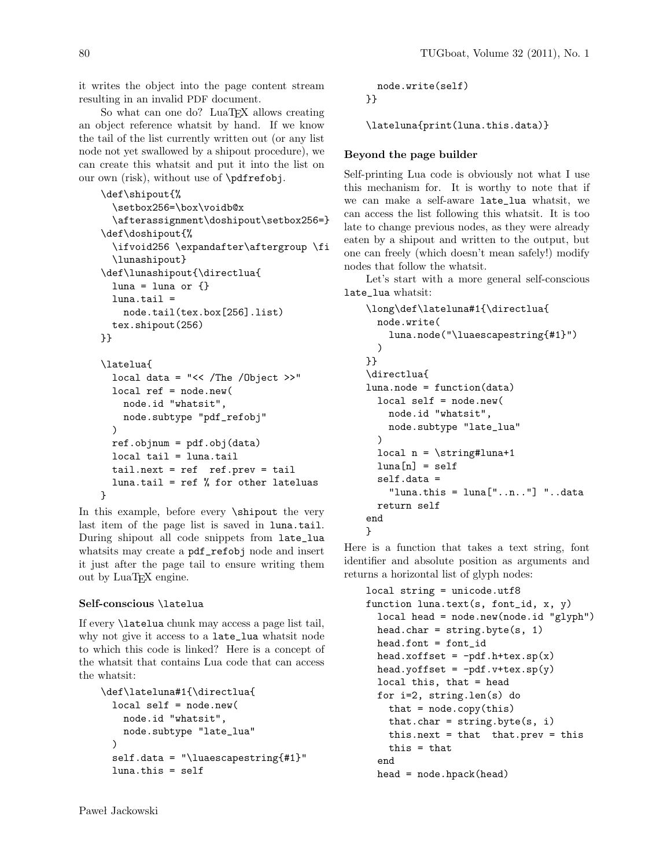it writes the object into the page content stream resulting in an invalid PDF document.

So what can one do? LuaT<sub>FX</sub> allows creating an object reference whatsit by hand. If we know the tail of the list currently written out (or any list node not yet swallowed by a shipout procedure), we can create this whatsit and put it into the list on our own (risk), without use of \pdfrefobj.

```
\def\shipout{%
  \setbox256=\box\voidb@x
  \afterassignment\doshipout\setbox256=}
\def\doshipout{%
  \ifvoid256 \expandafter\aftergroup \fi
  \lunashipout}
\def\lunashipout{\directlua{
  luna = luna or \{\}luna.tail =
    node.tail(tex.box[256].list)
  tex.shipout(256)
}}
\latelua{
  local data = "<< /The /Object >>"
  local ref = node.new(
    node.id "whatsit",
    node.subtype "pdf_refobj"
  )
  ref.obinum = pdf.obj(data)local tail = luna.tail
  tail.next = ref ref.prev = tail
  luna.tail = ref % for other lateluas
}
```
In this example, before every \shipout the very last item of the page list is saved in luna.tail. During shipout all code snippets from late\_lua whatsits may create a pdf\_refobj node and insert it just after the page tail to ensure writing them out by LuaTEX engine.

### Self-conscious \latelua

If every \latelua chunk may access a page list tail, why not give it access to a late\_lua whatsit node to which this code is linked? Here is a concept of the whatsit that contains Lua code that can access the whatsit:

```
\def\lateluna#1{\directlua{
  local self = node.new(
   node.id "whatsit",
   node.subtype "late_lua"
  \lambdaself.data = "\\luaescapestring{#1}"luna.this = self
```

```
node.write(self)
}}
```
\lateluna{print(luna.this.data)}

#### Beyond the page builder

Self-printing Lua code is obviously not what I use this mechanism for. It is worthy to note that if we can make a self-aware late\_lua whatsit, we can access the list following this whatsit. It is too late to change previous nodes, as they were already eaten by a shipout and written to the output, but one can freely (which doesn't mean safely!) modify nodes that follow the whatsit.

Let's start with a more general self-conscious late\_lua whatsit:

```
\long\def\lateluna#1{\directlua{
  node.write(
    luna.node("\luaescapestring{#1}")
  )
}}
\directlua{
luna.node = function(data)
  local self = node.new(
    node.id "whatsit",
    node.subtype "late_lua"
  )
  local n = \strut \text{min}#luna+1
  luna[n] = selfself.data =
    "luna.this = luna["...n...] "..data
  return self
end
}
```
Here is a function that takes a text string, font identifier and absolute position as arguments and returns a horizontal list of glyph nodes:

```
local string = unicode.utf8
function luna.text(s, font_id, x, y)
  local head = node.new(node.id "glyph")
 head.char = string.byte(s, 1)head.font = font_id
 head.xoffset = -pdf.h+tex(sp(x))head.yoffset = -pdf.y+tex(sp(y))local this, that = head
 for i=2, string.len(s) do
   that = node.copy(this)that.char = string.byte(s, i)this.next = that that.prev = this
   this = that
 end
 head = node.hpack(head)
```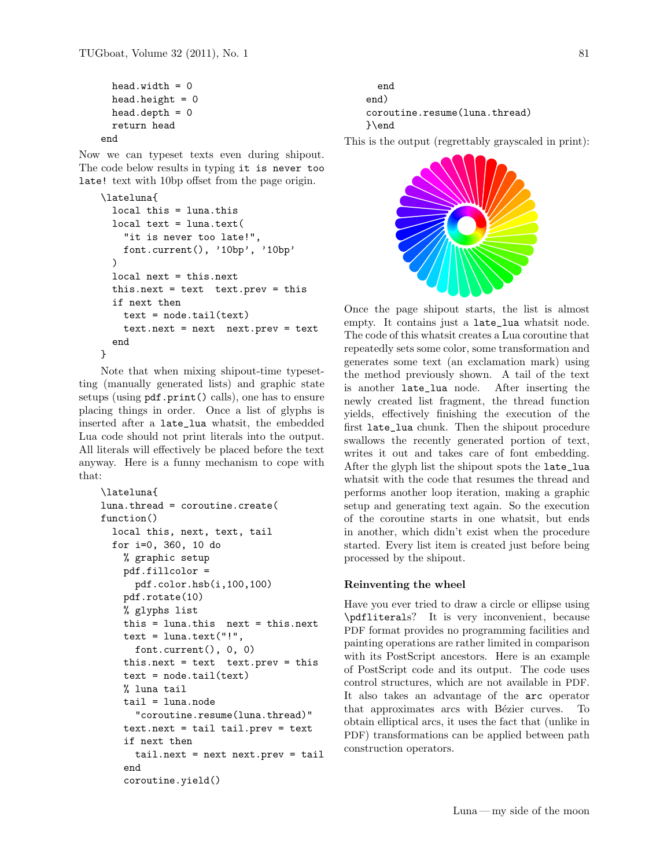```
head.width = 0head.height = 0head.depth = 0return head
end
```
Now we can typeset texts even during shipout. The code below results in typing it is never too late! text with 10bp offset from the page origin.

```
\lateluna{
 local this = luna.this
  local text = luna.text(
    "it is never too late!",
   font.current(), '10bp', '10bp'
  )
  local next = this.next
  this.next = text text.prev = this
  if next then
   text = node.tail(text)text.next = next next.prev = text
  end
}
```
Note that when mixing shipout-time typesetting (manually generated lists) and graphic state setups (using pdf.print() calls), one has to ensure placing things in order. Once a list of glyphs is inserted after a late\_lua whatsit, the embedded Lua code should not print literals into the output. All literals will effectively be placed before the text anyway. Here is a funny mechanism to cope with that:

```
\lateluna{
luna.thread = coroutine.create(
function()
  local this, next, text, tail
  for i=0, 360, 10 do
   % graphic setup
   pdf.fillcolor =
      pdf.color.hsb(i,100,100)
   pdf.rotate(10)
   % glyphs list
   this = luna.this next = this.next
   text = luna.text("!"font.current(), 0, 0)
   this.next = text text.prev = this
   text = node.tail(text)
   % luna tail
   tail = luna.node
      "coroutine.resume(luna.thread)"
   text.next = tail tail.prev = text
   if next then
      tail.next = next next.prev = tail
   end
    coroutine.yield()
```
end end) coroutine.resume(luna.thread) }\end

This is the output (regrettably grayscaled in print):



Once the page shipout starts, the list is almost empty. It contains just a late\_lua whatsit node. The code of this whatsit creates a Lua coroutine that repeatedly sets some color, some transformation and generates some text (an exclamation mark) using the method previously shown. A tail of the text is another late\_lua node. After inserting the newly created list fragment, the thread function yields, effectively finishing the execution of the first late\_lua chunk. Then the shipout procedure swallows the recently generated portion of text, writes it out and takes care of font embedding. After the glyph list the shipout spots the late\_lua whatsit with the code that resumes the thread and performs another loop iteration, making a graphic setup and generating text again. So the execution of the coroutine starts in one whatsit, but ends in another, which didn't exist when the procedure started. Every list item is created just before being processed by the shipout.

## Reinventing the wheel

Have you ever tried to draw a circle or ellipse using \pdfliterals? It is very inconvenient, because PDF format provides no programming facilities and painting operations are rather limited in comparison with its PostScript ancestors. Here is an example of PostScript code and its output. The code uses control structures, which are not available in PDF. It also takes an advantage of the arc operator that approximates arcs with Bézier curves. To obtain elliptical arcs, it uses the fact that (unlike in PDF) transformations can be applied between path construction operators.